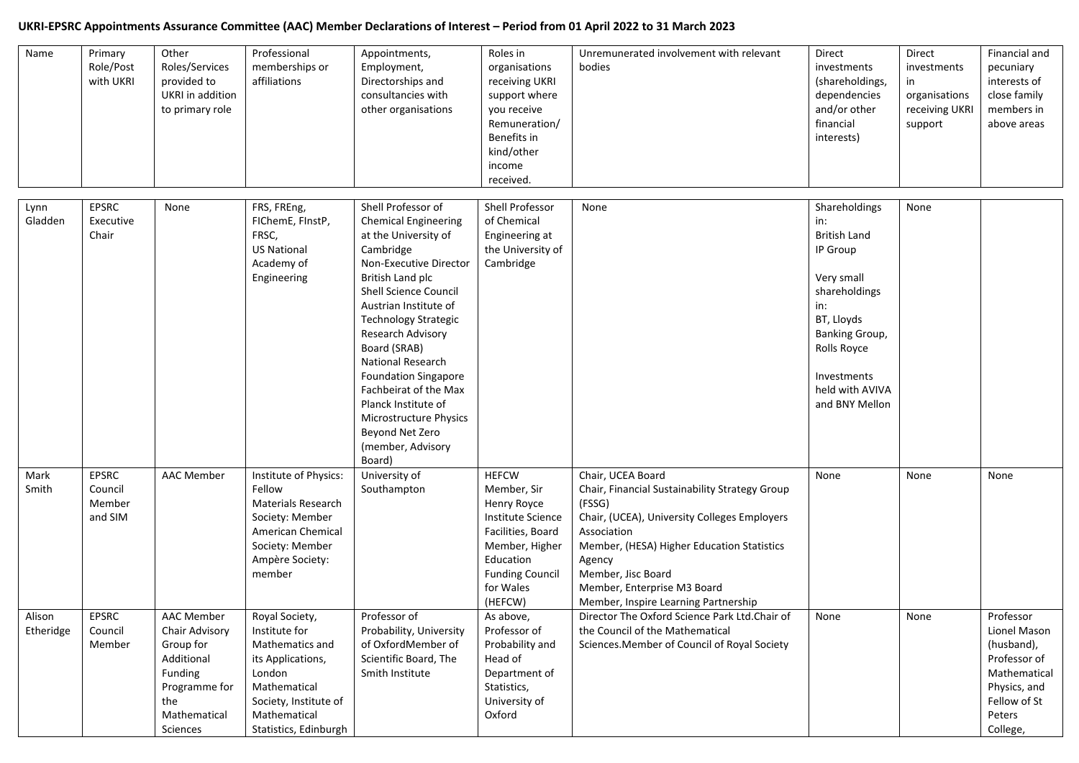## **UKRI-EPSRC Appointments Assurance Committee (AAC) Member Declarations of Interest – Period from 01 April 2022 to 31 March 2023**

| Name                | Primary<br>Role/Post<br>with UKRI            | Other<br>Roles/Services<br>provided to<br><b>UKRI</b> in addition<br>to primary role                                   | Professional<br>memberships or<br>affiliations                                                                                                                      | Appointments,<br>Employment,<br>Directorships and<br>consultancies with<br>other organisations                                                                                                                                                                                                                                                                                                                                                           | Roles in<br>organisations<br>receiving UKRI<br>support where<br>you receive<br>Remuneration/<br>Benefits in<br>kind/other<br>income<br>received.                      | Unremunerated involvement with relevant<br>bodies                                                                                                                                                                                                                                                 | Direct<br>investments<br>(shareholdings,<br>dependencies<br>and/or other<br>financial<br>interests)                                                                                              | Direct<br>investments<br>in<br>organisations<br>receiving UKRI<br>support | Financial and<br>pecuniary<br>interests of<br>close family<br>members in<br>above areas                                       |
|---------------------|----------------------------------------------|------------------------------------------------------------------------------------------------------------------------|---------------------------------------------------------------------------------------------------------------------------------------------------------------------|----------------------------------------------------------------------------------------------------------------------------------------------------------------------------------------------------------------------------------------------------------------------------------------------------------------------------------------------------------------------------------------------------------------------------------------------------------|-----------------------------------------------------------------------------------------------------------------------------------------------------------------------|---------------------------------------------------------------------------------------------------------------------------------------------------------------------------------------------------------------------------------------------------------------------------------------------------|--------------------------------------------------------------------------------------------------------------------------------------------------------------------------------------------------|---------------------------------------------------------------------------|-------------------------------------------------------------------------------------------------------------------------------|
| Lynn<br>Gladden     | <b>EPSRC</b><br>Executive<br>Chair           | None                                                                                                                   | FRS, FREng,<br>FIChemE, FInstP,<br>FRSC,<br><b>US National</b><br>Academy of<br>Engineering                                                                         | Shell Professor of<br><b>Chemical Engineering</b><br>at the University of<br>Cambridge<br>Non-Executive Director<br>British Land plc<br><b>Shell Science Council</b><br>Austrian Institute of<br><b>Technology Strategic</b><br>Research Advisory<br>Board (SRAB)<br><b>National Research</b><br><b>Foundation Singapore</b><br>Fachbeirat of the Max<br>Planck Institute of<br>Microstructure Physics<br>Beyond Net Zero<br>(member, Advisory<br>Board) | Shell Professor<br>of Chemical<br>Engineering at<br>the University of<br>Cambridge                                                                                    | None                                                                                                                                                                                                                                                                                              | Shareholdings<br>in:<br><b>British Land</b><br>IP Group<br>Very small<br>shareholdings<br>in:<br>BT, Lloyds<br>Banking Group,<br>Rolls Royce<br>Investments<br>held with AVIVA<br>and BNY Mellon | None                                                                      |                                                                                                                               |
| Mark<br>Smith       | <b>EPSRC</b><br>Council<br>Member<br>and SIM | <b>AAC Member</b>                                                                                                      | Institute of Physics:<br>Fellow<br>Materials Research<br>Society: Member<br>American Chemical<br>Society: Member<br>Ampère Society:<br>member                       | University of<br>Southampton                                                                                                                                                                                                                                                                                                                                                                                                                             | <b>HEFCW</b><br>Member, Sir<br>Henry Royce<br>Institute Science<br>Facilities, Board<br>Member, Higher<br>Education<br><b>Funding Council</b><br>for Wales<br>(HEFCW) | Chair, UCEA Board<br>Chair, Financial Sustainability Strategy Group<br>(FSSG)<br>Chair, (UCEA), University Colleges Employers<br>Association<br>Member, (HESA) Higher Education Statistics<br>Agency<br>Member, Jisc Board<br>Member, Enterprise M3 Board<br>Member, Inspire Learning Partnership | None                                                                                                                                                                                             | None                                                                      | None                                                                                                                          |
| Alison<br>Etheridge | EPSRC<br>Council<br>Member                   | AAC Member<br>Chair Advisory<br>Group for<br>Additional<br>Funding<br>Programme for<br>the<br>Mathematical<br>Sciences | Royal Society,<br>Institute for<br>Mathematics and<br>its Applications,<br>London<br>Mathematical<br>Society, Institute of<br>Mathematical<br>Statistics, Edinburgh | Professor of<br>Probability, University<br>of OxfordMember of<br>Scientific Board, The<br>Smith Institute                                                                                                                                                                                                                                                                                                                                                | As above,<br>Professor of<br>Probability and<br>Head of<br>Department of<br>Statistics,<br>University of<br>Oxford                                                    | Director The Oxford Science Park Ltd.Chair of<br>the Council of the Mathematical<br>Sciences. Member of Council of Royal Society                                                                                                                                                                  | None                                                                                                                                                                                             | None                                                                      | Professor<br>Lionel Mason<br>(husband),<br>Professor of<br>Mathematical<br>Physics, and<br>Fellow of St<br>Peters<br>College, |